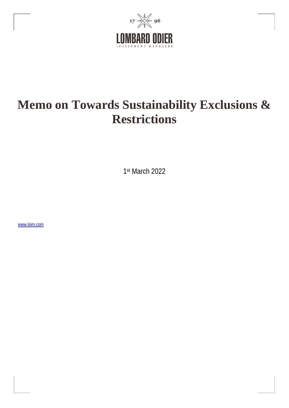

# **Memo on Towards Sustainability Exclusions & Restrictions**

1st March 2022

[www.loim.com](http://www.loim.com/)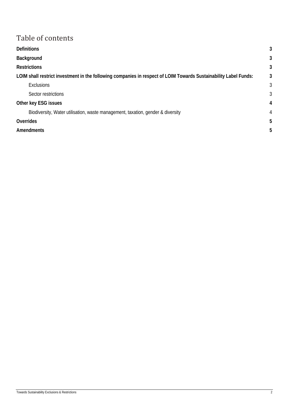## Table of contents

| <b>Definitions</b>                                                                                               | 3              |
|------------------------------------------------------------------------------------------------------------------|----------------|
| Background                                                                                                       | 3              |
| <b>Restrictions</b>                                                                                              | 3              |
| LOIM shall restrict investment in the following companies in respect of LOIM Towards Sustainability Label Funds: | 3              |
| <b>Exclusions</b>                                                                                                | 3              |
| Sector restrictions                                                                                              | 3              |
| Other key ESG issues                                                                                             | $\overline{4}$ |
| Biodiversity, Water utilisation, waste management, taxation, gender & diversity                                  | 4              |
| Overrides                                                                                                        | 5              |
| <b>Amendments</b>                                                                                                | 5              |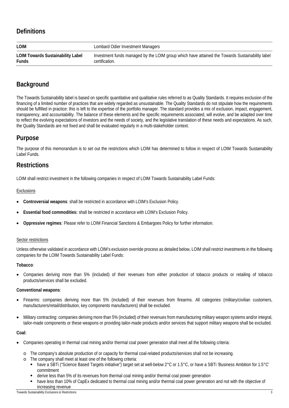## <span id="page-2-0"></span>**Definitions**

| <b>LOIM</b>                              | Lombard Odier Investment Managers                                                               |
|------------------------------------------|-------------------------------------------------------------------------------------------------|
| <b>LOIM Towards Sustainability Label</b> | Investment funds managed by the LOIM group which have attained the Towards Sustainability label |
| <b>Funds</b>                             | certification.                                                                                  |

## <span id="page-2-1"></span>**Background**

The Towards Sustainability label is based on specific quantitative and qualitative rules referred to as Quality Standards. It requires exclusion of the financing of a limited number of practices that are widely regarded as unsustainable. The Quality Standards do not stipulate how the requirements should be fulfilled in practice: this is left to the expertise of the portfolio manager. The standard provides a mix of exclusion, impact, engagement, transparency, and accountability. The balance of these elements and the specific requirements associated, will evolve, and be adapted over time to reflect the evolving expectations of investors and the needs of society, and the legislative translation of these needs and expectations. As such, the Quality Standards are not fixed and shall be evaluated regularly in a multi-stakeholder context.

## **Purpose**

The purpose of this memorandum is to set out the restrictions which LOIM has determined to follow in respect of LOIM Towards Sustainability Label Funds.

## <span id="page-2-2"></span>**Restrictions**

<span id="page-2-3"></span>LOIM shall restrict investment in the following companies in respect of LOIM Towards Sustainability Label Funds:

#### <span id="page-2-4"></span>**Exclusions**

- **Controversial weapons**: shall be restricted in accordance with LOIM's Exclusion Policy.
- **Essential food commodities:** shall be restricted in accordance with LOIM's Exclusion Policy.
- **Oppressive regimes***:* Please refer to LOIM Financial Sanctions & Embargoes Policy for further information.

#### <span id="page-2-5"></span>Sector restrictions

Unless otherwise validated in accordance with LOIM's exclusion override process as detailed below, LOIM shall restrict investments in the following companies for the LOIM Towards Sustainability Label Funds:

#### **Tobacco**:

• Companies deriving more than 5% (included) of their revenues from either production of tobacco products or retailing of tobacco products/services shall be excluded.

#### **Conventional weapons**:

- Firearms: companies deriving more than 5% (included) of their revenues from firearms. All categories (military/civilian customers, manufacturers/retail/distribution, key components manufacturers) shall be excluded.
- Military contracting: companies deriving more than 5% (included) of their revenues from manufacturing military weapon systems and/or integral, tailor-made components or these weapons or providing tailor-made products and/or services that support military weapons shall be excluded.

#### **Coal:**

- Companies operating in thermal coal mining and/or thermal coal power generation shall meet all the following criteria:
	- o The company's absolute production of or capacity for thermal coal-related products/services shall not be increasing.
	- o The company shall meet at least one of the following criteria:
		- have a SBTi ("Science Based Targets initiative") target set at well-below 2°C or 1.5°C, or have a SBTi 'Business Ambition for 1.5°C' commitment
		- derive less than 5% of its revenues from thermal coal mining and/or thermal coal power generation
		- have less than 10% of CapEx dedicated to thermal coal mining and/or thermal coal power generation and not with the objective of increasing revenue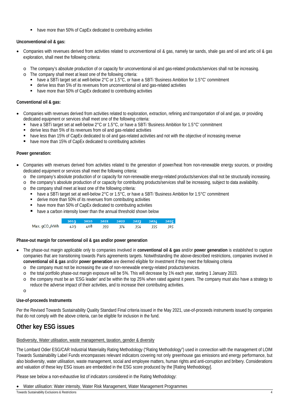have more than 50% of CapEx dedicated to contributing activities

#### **Unconventional oil & gas:**

- Companies with revenues derived from activities related to unconventional oil & gas, namely tar sands, shale gas and oil and artic oil & gas exploration, shall meet the following criteria:
	- o The company's absolute production of or capacity for unconventional oil and gas-related products/services shall not be increasing.
	- o The company shall meet at least one of the following criteria:
		- have a SBTi target set at well-below 2°C or 1.5°C, or have a SBTi 'Business Ambition for 1.5°C' commitment
		- derive less than 5% of its revenues from unconventional oil and gas-related activities
		- have more than 50% of CapEx dedicated to contributing activities

#### **Conventional oil & gas:**

- Companies with revenues derived from activities related to exploration, extraction, refining and transportation of oil and gas, or providing dedicated equipment or services shall meet one of the following criteria:
	- **have a SBTi target set at well-below 2°C or 1.5°C, or have a SBTi 'Business Ambition for 1.5°C' commitment**
	- derive less than 5% of its revenues from oil and gas-related activities
	- have less than 15% of CapEx dedicated to oil and gas-related activities and not with the objective of increasing revenue
	- have more than 15% of CapEx dedicated to contributing activities

#### **Power generation:**

- Companies with revenues derived from activities related to the generation of power/heat from non-renewable energy sources, or providing dedicated equipment or services shall meet the following criteria:
	- o the company's absolute production of or capacity for non-renewable energy-related products/services shall not be structurally increasing.
	- o the company's absolute production of or capacity for contributing products/services shall be increasing, subject to data availability.
	- o the company shall meet at least one of the following criteria:
		- have a SBTi target set at well-below 2°C or 1.5°C, or have a SBTi 'Business Ambition for 1.5°C' commitment
		- derive more than 50% of its revenues from contributing activities
		- have more than 50% of CapEx dedicated to contributing activities
		- **have a carbon intensity lower than the annual threshold shown below**

|                                                        | 2019 2020 2021 2022 2023 2024 2025 |  |  |  |
|--------------------------------------------------------|------------------------------------|--|--|--|
| Max. gCO <sub>2</sub> /kWh 429 408 393 374 354 335 315 |                                    |  |  |  |

**Phase-out margin for conventional oil & gas and/or power generation**

- The phase-out margin applicable only to companies involved in **conventional oil & gas** and/or **power generation** is established to capture companies that are transitioning towards Paris agreements targets. Notwithstanding the above-described restrictions, companies involved in **conventional oil & gas** and/or **power generation** are deemed eligible for investment if they meet the following criteria
	- o the company must not be increasing the use of non-renewable energy-related products/services.
	- o the total portfolio phase-out margin exposure will be 5%. This will decrease by 1% each year, starting 1 January 2023.
	- o the company must be an 'ESG leader' and be within the top 25% when rated against it peers. The company must also have a strategy to reduce the adverse impact of their activities, and to increase their contributing activities.

o

#### **Use-of-proceeds Instruments**

Per the Revised Towards Sustainability Quality Standard Final criteria issued in the May 2021, use-of-proceeds instruments issued by companies that do not comply with the above criteria, can be eligible for inclusion in the fund.

## <span id="page-3-0"></span>**Other key ESG issues**

#### <span id="page-3-1"></span>Biodiversity, Water utilisation, waste management, taxation, gender & diversity

The Lombard Odier ESG/CAR Industrial Materiality Rating Methodology ("Rating Methodology") used in connection with the management of LOIM Towards Sustainability Label Funds encompasses relevant indicators covering not only greenhouse gas emissions and energy performance, but also biodiversity, water utilisation, waste management, social and employee matters, human rights and anti-corruption and bribery. Considerations and valuation of these key ESG issues are embedded in the ESG score produced by the [Rating Methodology].

Please see below a non-exhaustive list of indicators considered in the Rating Methodology:

• Water utilisation: Water intensity, Water Risk Management, Water Management Programmes